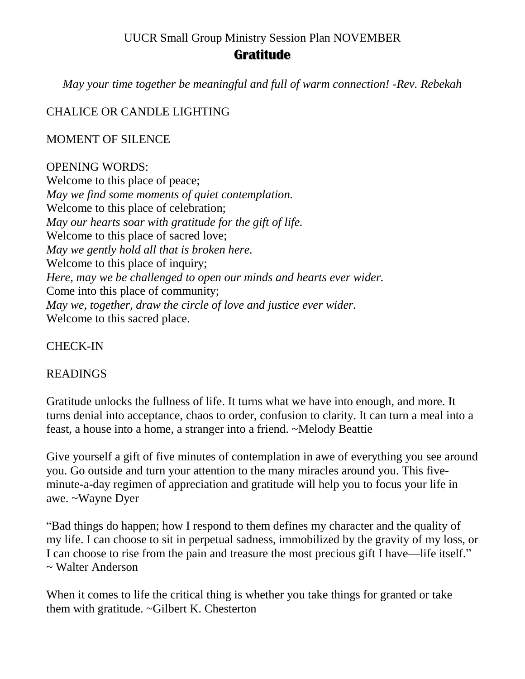#### UUCR Small Group Ministry Session Plan NOVEMBER

### **Gratitude**

*May your time together be meaningful and full of warm connection! -Rev. Rebekah*

## CHALICE OR CANDLE LIGHTING

#### MOMENT OF SILENCE

#### OPENING WORDS:

Welcome to this place of peace; *May we find some moments of quiet contemplation.* Welcome to this place of celebration; *May our hearts soar with gratitude for the gift of life.* Welcome to this place of sacred love; *May we gently hold all that is broken here.* Welcome to this place of inquiry; *Here, may we be challenged to open our minds and hearts ever wider.* Come into this place of community; *May we, together, draw the circle of love and justice ever wider.* Welcome to this sacred place.

CHECK-IN

### READINGS

Gratitude unlocks the fullness of life. It turns what we have into enough, and more. It turns denial into acceptance, chaos to order, confusion to clarity. It can turn a meal into a feast, a house into a home, a stranger into a friend. ~Melody Beattie

Give yourself a gift of five minutes of contemplation in awe of everything you see around you. Go outside and turn your attention to the many miracles around you. This fiveminute-a-day regimen of appreciation and gratitude will help you to focus your life in awe. ~Wayne Dyer

"Bad things do happen; how I respond to them defines my character and the quality of my life. I can choose to sit in perpetual sadness, immobilized by the gravity of my loss, or I can choose to rise from the pain and treasure the most precious gift I have—life itself." ~ Walter Anderson

When it comes to life the critical thing is whether you take things for granted or take them with gratitude. ~Gilbert K. Chesterton